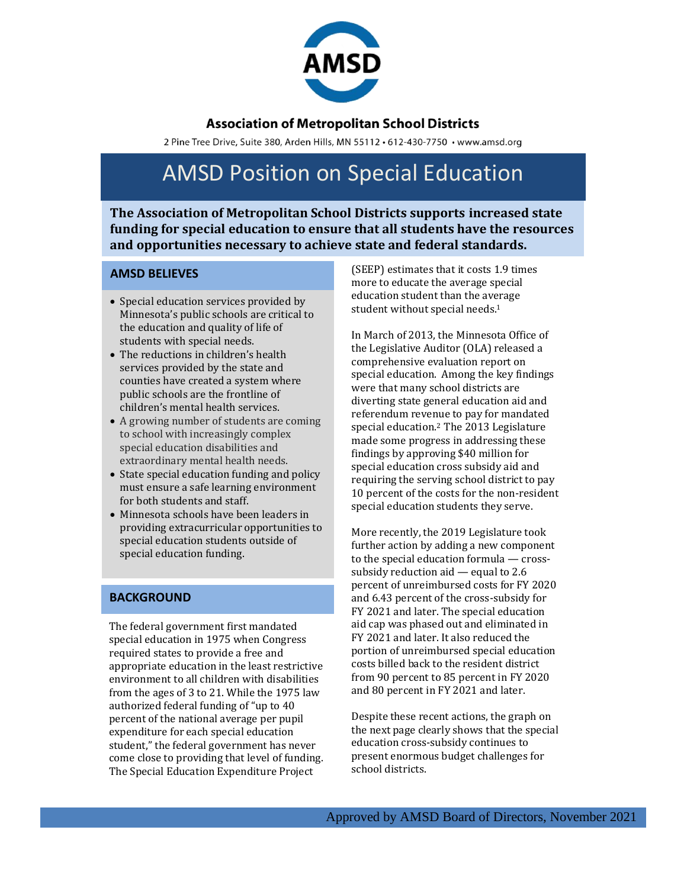

### **Association of Metropolitan School Districts**

2 Pine Tree Drive, Suite 380, Arden Hills, MN 55112 · 612-430-7750 · www.amsd.org

# AMSD Position on Special Education

**The Association of Metropolitan School Districts supports increased state funding for special education to ensure that all students have the resources and opportunities necessary to achieve state and federal standards.**

#### **AMSD BELIEVES**

- Special education services provided by Minnesota's public schools are critical to the education and quality of life of students with special needs.
- The reductions in children's health services provided by the state and counties have created a system where public schools are the frontline of children's mental health services.
- A growing number of students are coming to school with increasingly complex special education disabilities and extraordinary mental health needs.
- State special education funding and policy must ensure a safe learning environment for both students and staff.
- Minnesota schools have been leaders in providing extracurricular opportunities to special education students outside of special education funding.

#### **BACKGROUND**

The federal government first mandated special education in 1975 when Congress required states to provide a free and appropriate education in the least restrictive environment to all children with disabilities from the ages of 3 to 21. While the 1975 law authorized federal funding of "up to 40 percent of the national average per pupil expenditure for each special education student," the federal government has never come close to providing that level of funding. The Special Education Expenditure Project

(SEEP) estimates that it costs 1.9 times more to educate the average special education student than the average student without special needs.<sup>1</sup>

In March of 2013, the Minnesota Office of the Legislative Auditor (OLA) released a comprehensive evaluation report on special education. Among the key findings were that many school districts are diverting state general education aid and referendum revenue to pay for mandated special education.<sup>2</sup> The 2013 Legislature made some progress in addressing these findings by approving \$40 million for special education cross subsidy aid and requiring the serving school district to pay 10 percent of the costs for the non-resident special education students they serve.

More recently, the 2019 Legislature took further action by adding a new component to the special education formula — crosssubsidy reduction aid — equal to 2.6 percent of unreimbursed costs for FY 2020 and 6.43 percent of the cross-subsidy for FY 2021 and later. The special education aid cap was phased out and eliminated in FY 2021 and later. It also reduced the portion of unreimbursed special education costs billed back to the resident district from 90 percent to 85 percent in FY 2020 and 80 percent in FY 2021 and later.

Despite these recent actions, the graph on the next page clearly shows that the special education cross-subsidy continues to present enormous budget challenges for school districts.